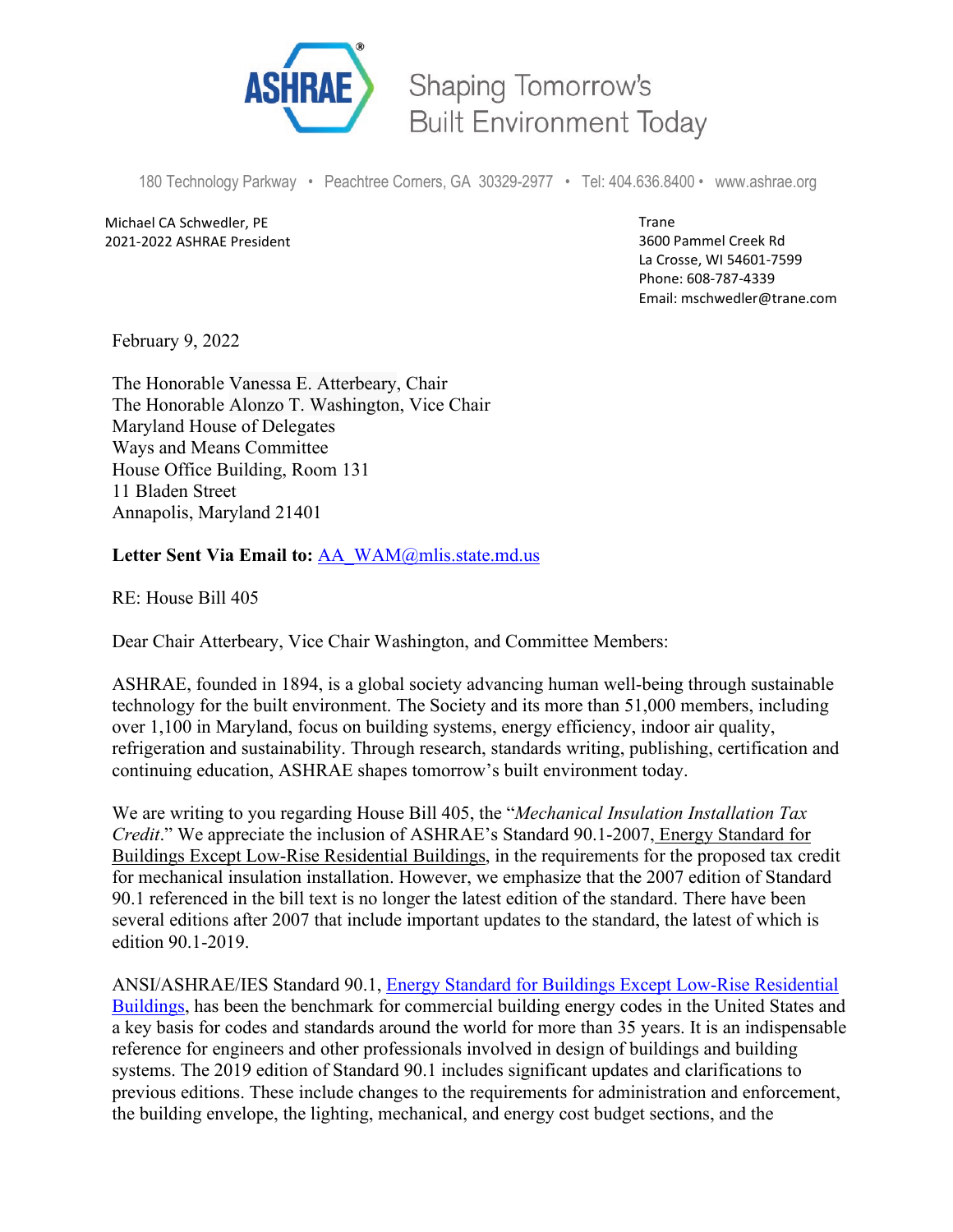

Shaping Tomorrow's **Built Environment Today** 

180 Technology Parkway • Peachtree Corners, GA 30329-2977 • Tel: 404.636.8400 • www.ashrae.org

Michael CA Schwedler, PE 2021-2022 ASHRAE President Trane 3600 Pammel Creek Rd La Crosse, WI 54601-7599 Phone: 608-787-4339 Email: mschwedler@trane.com

February 9, 2022

The Honorable Vanessa E. Atterbeary, Chair The Honorable Alonzo T. Washington, Vice Chair Maryland House of Delegates Ways and Means Committee House Office Building, Room 131 11 Bladen Street Annapolis, Maryland 21401

## Letter Sent Via Email to: [AA\\_WAM@mlis.state.md.us](mailto:AA_WAM@mlis.state.md.us)

RE: House Bill 405

Dear Chair Atterbeary, Vice Chair Washington, and Committee Members:

ASHRAE, founded in 1894, is a global society advancing human well-being through sustainable technology for the built environment. The Society and its more than 51,000 members, including over 1,100 in Maryland, focus on building systems, energy efficiency, indoor air quality, refrigeration and sustainability. Through research, standards writing, publishing, certification and continuing education, ASHRAE shapes tomorrow's built environment today.

We are writing to you regarding House Bill 405, the "*Mechanical Insulation Installation Tax Credit*." We appreciate the inclusion of ASHRAE's Standard 90.1-2007, Energy Standard for Buildings Except Low-Rise Residential Buildings, in the requirements for the proposed tax credit for mechanical insulation installation. However, we emphasize that the 2007 edition of Standard 90.1 referenced in the bill text is no longer the latest edition of the standard. There have been several editions after 2007 that include important updates to the standard, the latest of which is edition 90.1-2019.

ANSI/ASHRAE/IES Standard 90.1, [Energy Standard for Buildings Except](https://ashrae.iwrapper.com/ASHRAE_PREVIEW_ONLY_STANDARDS/STD_90.1_2019) Low-Rise Residential [Buildings,](https://ashrae.iwrapper.com/ASHRAE_PREVIEW_ONLY_STANDARDS/STD_90.1_2019) has been the benchmark for commercial building energy codes in the United States and a key basis for codes and standards around the world for more than 35 years. It is an indispensable reference for engineers and other professionals involved in design of buildings and building systems. The 2019 edition of Standard 90.1 includes significant updates and clarifications to previous editions. These include changes to the requirements for administration and enforcement, the building envelope, the lighting, mechanical, and energy cost budget sections, and the